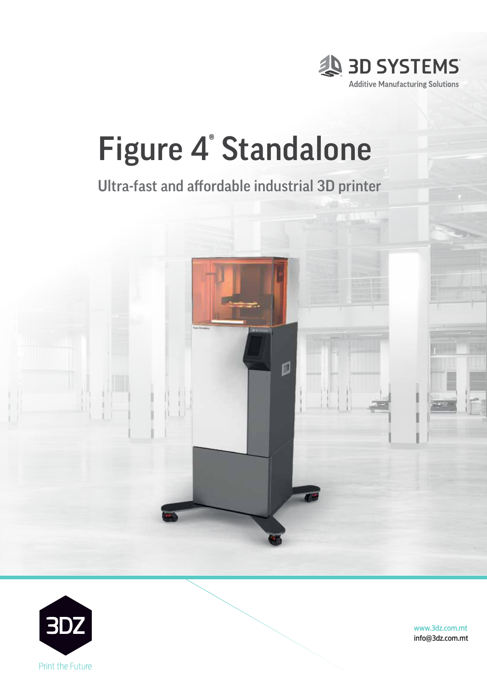

# Figure 4® Standalone

Ultra-fast and affordable industrial 3D printer



Part of 3D Systems' scalable, fully integrated Figure 4 technology

platform, Figure 4 Standalone is an affordable and versatile solution

for low volume production, and same-day prototyping for fast design

iteration and verification, of  $\mathcal{N}$  and accuracy with a contribution,  $\mathcal{N}$ 



www.3dz.com.mt info@3dz.com.mt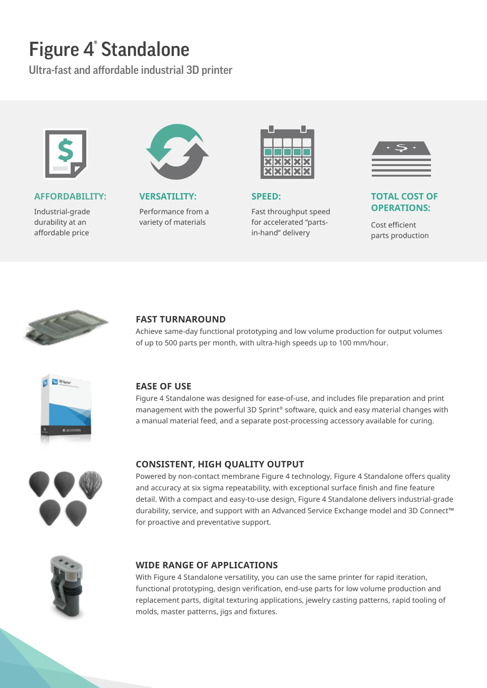# Figure 4® Standalone

Ultra-fast and affordable industrial 3D printer



#### **AFFORDABILITY:**

Industrial-grade durability at an affordable price



**VERSATILITY:**

Performance from a variety of materials



**SPEED:** 

Fast throughput speed for accelerated "partsin-hand" delivery



#### **TOTAL COST OF OPERATIONS:**

Cost efficient parts production



#### **FAST TURNAROUND**

Achieve same-day functional prototyping and low volume production for output volumes of up to 500 parts per month, with ultra-high speeds up to 100 mm/hour.



#### **EASE OF USE**

Figure 4 Standalone was designed for ease-of-use, and includes file preparation and print management with the powerful 3D Sprint® software, quick and easy material changes with a manual material feed, and a separate post-processing accessory available for curing.



#### **CONSISTENT, HIGH QUALITY OUTPUT**

Powered by non-contact membrane Figure 4 technology, Figure 4 Standalone offers quality and accuracy at six sigma repeatability, with exceptional surface finish and fine feature detail. With a compact and easy-to-use design, Figure 4 Standalone delivers industrial-grade durability, service, and support with an Advanced Service Exchange model and 3D Connect™ for proactive and preventative support.



#### **WIDE RANGE OF APPLICATIONS**

With Figure 4 Standalone versatility, you can use the same printer for rapid iteration, functional prototyping, design verification, end-use parts for low volume production and replacement parts, digital texturing applications, jewelry casting patterns, rapid tooling of molds, master patterns, jigs and fixtures.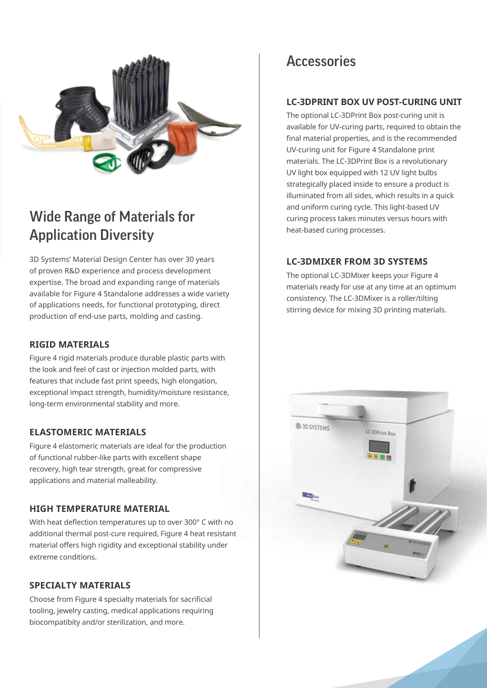

# Wide Range of Materials for Application Diversity

3D Systems' Material Design Center has over 30 years of proven R&D experience and process development expertise. The broad and expanding range of materials available for Figure 4 Standalone addresses a wide variety of applications needs, for functional prototyping, direct production of end-use parts, molding and casting.

#### **RIGID MATERIALS**

Figure 4 rigid materials produce durable plastic parts with the look and feel of cast or injection molded parts, with features that include fast print speeds, high elongation, exceptional impact strength, humidity/moisture resistance, long-term environmental stability and more.

#### **ELASTOMERIC MATERIALS**

Figure 4 elastomeric materials are ideal for the production of functional rubber-like parts with excellent shape recovery, high tear strength, great for compressive applications and material malleability.

#### **HIGH TEMPERATURE MATERIAL**

With heat deflection temperatures up to over 300° C with no additional thermal post-cure required, Figure 4 heat resistant material offers high rigidity and exceptional stability under extreme conditions.

#### **SPECIALTY MATERIALS**

Choose from Figure 4 specialty materials for sacrificial tooling, jewelry casting, medical applications requiring biocompatibity and/or sterilization, and more.

## **Accessories**

#### **LC-3DPRINT BOX UV POST-CURING UNIT**

The optional LC-3DPrint Box post-curing unit is available for UV-curing parts, required to obtain the final material properties, and is the recommended UV-curing unit for Figure 4 Standalone print materials. The LC-3DPrint Box is a revolutionary UV light box equipped with 12 UV light bulbs strategically placed inside to ensure a product is illuminated from all sides, which results in a quick and uniform curing cycle. This light-based UV curing process takes minutes versus hours with heat-based curing processes.

#### **LC-3DMIXER FROM 3D SYSTEMS**

The optional LC-3DMixer keeps your Figure 4 materials ready for use at any time at an optimum consistency. The LC-3DMixer is a roller/tilting stirring device for mixing 3D printing materials.